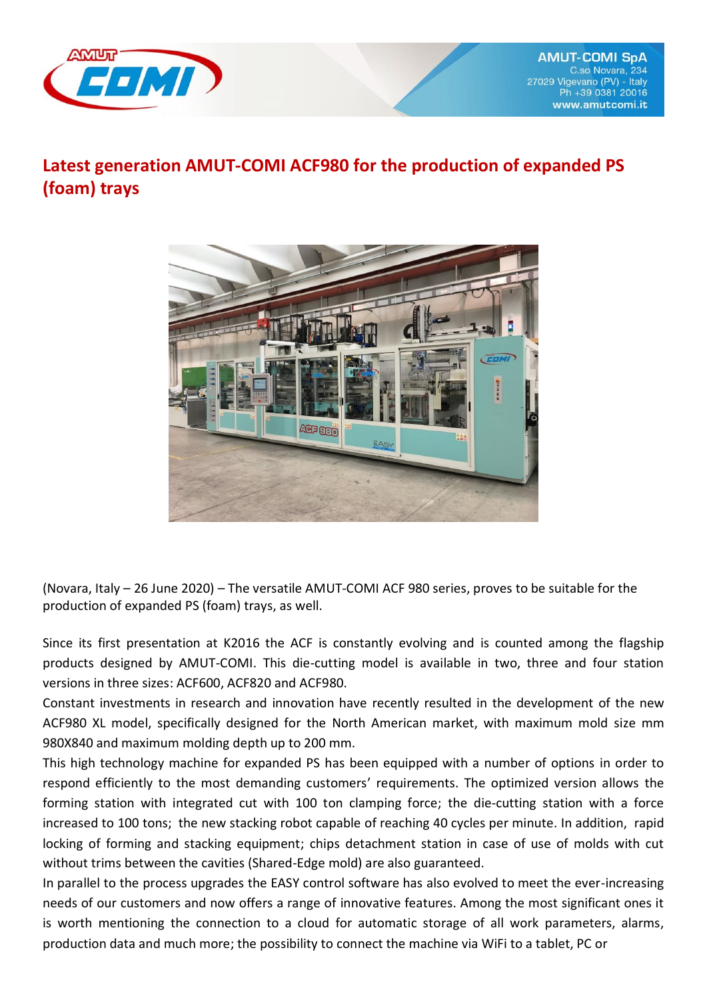

## **Latest generation AMUT-COMI ACF980 for the production of expanded PS (foam) trays**



(Novara, Italy – 26 June 2020) – The versatile AMUT-COMI ACF 980 series, proves to be suitable for the production of expanded PS (foam) trays, as well.

[Since its first presentation at K2016 the ACF is constantly evolving and i](http://www.reverso.net/translationresults.aspx?lang=IT&sourcetext=Dalla%20sua%20prima%20presentazione%20al%20K2016%20la%20serie%20ACF%20%C3%A8%20in%20continua%20evoluzione%20e%20rappresenta%20il%20punto%20di%20forza%20delle%20gamma%20di%20termoformatrici%20di%20AMU%20COMI.&action_form=translate&direction_translation=ita-eng-7)s counted among the flagship products designed by AMUT-COMI. This die-cutting model is available in two, three and four station versions in three sizes: ACF600, ACF820 and ACF980.

Constant investments in research and innovation have recently resulted in the development of the new ACF980 XL model, specifically designed for the North American market, with maximum mold size mm 980X840 and maximum molding depth up to 200 mm.

This high technology machine for expanded PS has been equipped with a number of options in order to respond efficiently to the most demanding customers' requirements. The optimized version allows the forming station with integrated cut with 100 ton clamping force; the die-cutting station with a force increased to 100 tons; the new stacking robot capable of reaching 40 cycles per minute. In addition, rapid locking of forming and stacking equipment; chips detachment station in case of use of molds with cut without trims between the cavities (Shared-Edge mold) are also guaranteed.

In parallel to the process upgrades the EASY control software has also evolved to meet the ever-increasing needs of our customers and now offers a range of innovative features. Among the most significant ones it is worth mentioning the connection to a cloud for automatic storage of all work parameters, alarms, production data and much more; the possibility to connect the machine via WiFi to a tablet, PC or